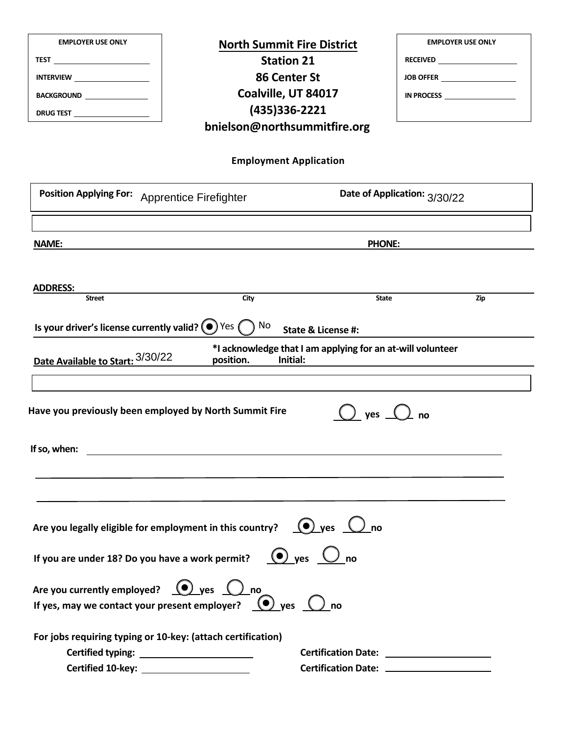| <b>EMPLOYER USE ONLY</b><br><b>TEST</b> ___________________________<br>INTERVIEW _______________________<br>BACKGROUND<br>DRUG TEST _____________________ | <b>North Summit Fire District</b><br><b>Station 21</b><br><b>86 Center St</b><br>Coalville, UT 84017<br>(435) 336-2221<br>bnielson@northsummitfire.org |                               | <b>EMPLOYER USE ONLY</b><br>JOB OFFER<br>IN PROCESS |
|-----------------------------------------------------------------------------------------------------------------------------------------------------------|--------------------------------------------------------------------------------------------------------------------------------------------------------|-------------------------------|-----------------------------------------------------|
|                                                                                                                                                           | <b>Employment Application</b>                                                                                                                          |                               |                                                     |
| <b>Position Applying For:</b>                                                                                                                             | <b>Apprentice Firefighter</b>                                                                                                                          |                               | Date of Application: 3/30/22                        |
| NAME:                                                                                                                                                     |                                                                                                                                                        |                               | <b>PHONE:</b>                                       |
| <b>ADDRESS:</b><br><b>Street</b><br>Is your driver's license currently valid? $\left(\bullet\right)$ Yes $\left(\bullet\right)$ No                        | City                                                                                                                                                   | <b>State &amp; License #:</b> | <b>State</b><br>Zip                                 |
| Date Available to Start: 3/30/22                                                                                                                          | *I acknowledge that I am applying for an at-will volunteer<br>position.<br>Initial:                                                                    |                               |                                                     |
| Have you previously been employed by North Summit Fire<br>If so, when:                                                                                    | <u> 1989 - Johann Barbara, martxa eta idazlea (h. 1989).</u>                                                                                           | yes                           | no                                                  |
| If you are under 18? Do you have a work permit?                                                                                                           | Are you legally eligible for employment in this country? $\bigcirc$ yes $\bigcirc$ no                                                                  | $\odot$ ves $\bigcup$ no      |                                                     |
| Are you currently employed? $\bigcirc$ yes $\bigcirc$ no                                                                                                  | If yes, may we contact your present employer? $\bigcirc$ yes $\bigcirc$ no                                                                             |                               |                                                     |
| For jobs requiring typing or 10-key: (attach certification)<br>Certified 10-key: ________________________                                                 |                                                                                                                                                        |                               |                                                     |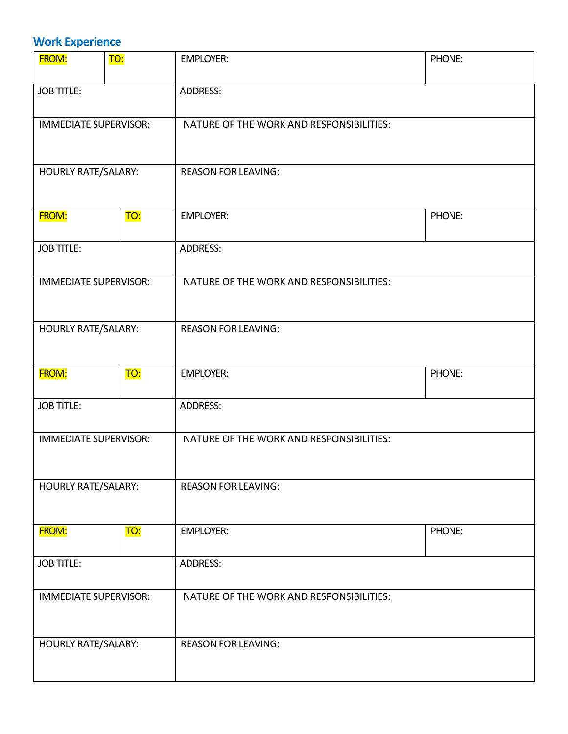# **Work Experience**

| <b>FROM:</b>                 | TO: | <b>EMPLOYER:</b>                         | PHONE: |
|------------------------------|-----|------------------------------------------|--------|
| <b>JOB TITLE:</b>            |     | <b>ADDRESS:</b>                          |        |
| <b>IMMEDIATE SUPERVISOR:</b> |     | NATURE OF THE WORK AND RESPONSIBILITIES: |        |
| <b>HOURLY RATE/SALARY:</b>   |     | <b>REASON FOR LEAVING:</b>               |        |
| <b>FROM:</b>                 | TO: | <b>EMPLOYER:</b>                         | PHONE: |
| <b>JOB TITLE:</b>            |     | <b>ADDRESS:</b>                          |        |
| <b>IMMEDIATE SUPERVISOR:</b> |     | NATURE OF THE WORK AND RESPONSIBILITIES: |        |
| <b>HOURLY RATE/SALARY:</b>   |     | <b>REASON FOR LEAVING:</b>               |        |
| <b>FROM:</b>                 | TO: | <b>EMPLOYER:</b>                         | PHONE: |
| <b>JOB TITLE:</b>            |     | <b>ADDRESS:</b>                          |        |
| <b>IMMEDIATE SUPERVISOR:</b> |     | NATURE OF THE WORK AND RESPONSIBILITIES: |        |
| <b>HOURLY RATE/SALARY:</b>   |     | <b>REASON FOR LEAVING:</b>               |        |
| <b>FROM:</b>                 | TO: | <b>EMPLOYER:</b>                         | PHONE: |
| <b>JOB TITLE:</b>            |     | <b>ADDRESS:</b>                          |        |
| <b>IMMEDIATE SUPERVISOR:</b> |     | NATURE OF THE WORK AND RESPONSIBILITIES: |        |
| <b>HOURLY RATE/SALARY:</b>   |     | <b>REASON FOR LEAVING:</b>               |        |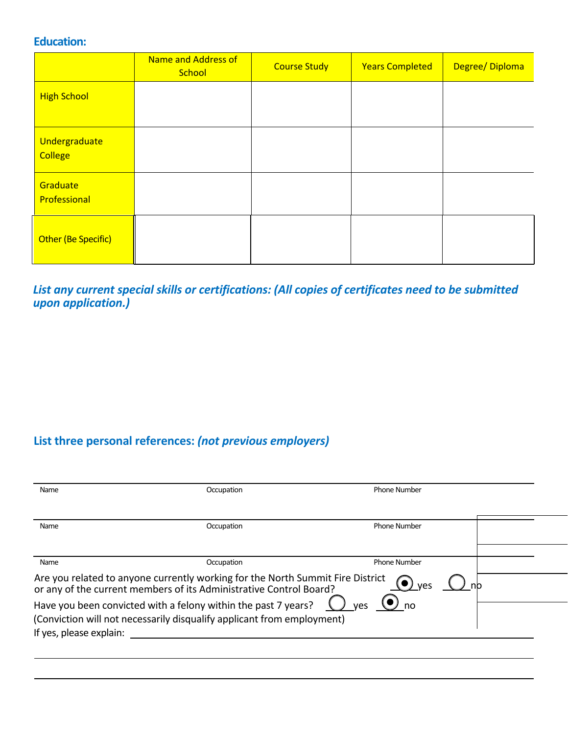### **Education:**

|                                 | Name and Address of<br>School | <b>Course Study</b> | <b>Years Completed</b> | Degree/Diploma |
|---------------------------------|-------------------------------|---------------------|------------------------|----------------|
| <b>High School</b>              |                               |                     |                        |                |
| Undergraduate<br><b>College</b> |                               |                     |                        |                |
| Graduate<br>Professional        |                               |                     |                        |                |
| Other (Be Specific)             |                               |                     |                        |                |

### *List any current special skills or certifications: (All copies of certificates need to be submitted upon application.)*

# **List three personal references:** *(not previous employers)*

| Name                    | Occupation                                                                                                                                           | <b>Phone Number</b>                |
|-------------------------|------------------------------------------------------------------------------------------------------------------------------------------------------|------------------------------------|
| Name                    | Occupation                                                                                                                                           | <b>Phone Number</b>                |
|                         |                                                                                                                                                      |                                    |
| Name                    | Occupation                                                                                                                                           | <b>Phone Number</b>                |
|                         | Are you related to anyone currently working for the North Summit Fire District<br>or any of the current members of its Administrative Control Board? | $\left( \bullet \right)$ yes<br>no |
| If yes, please explain: | Have you been convicted with a felony within the past 7 years?<br>(Conviction will not necessarily disqualify applicant from employment)             | $\bigcirc$ no<br>ves               |